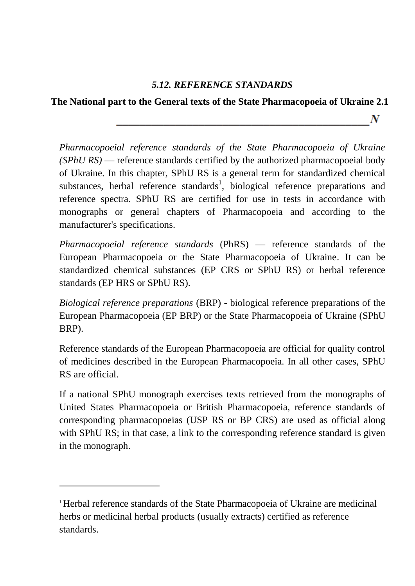## *5.12. REFERENCE STANDARDS*

## **The National part to the General texts of the State Pharmacopoeia of Ukraine 2.1**

 $\boldsymbol{N}$ 

*Pharmacopoeial reference standards of the State Pharmacopoeia of Ukraine (SPhU RS)* — reference standards certified by the authorized pharmacopoeial body of Ukraine. In this chapter, SPhU RS is a general term for standardized chemical substances, herbal reference standards<sup>1</sup>, biological reference preparations and reference spectra. SPhU RS are certified for use in tests in accordance with monographs or general chapters of Pharmacopoeia and according to the manufacturer's specifications.

*Pharmacopoeial reference standards* (PhRS) — reference standards of the European Pharmacopoeia or the State Pharmacopoeia of Ukraine. It can be standardized chemical substances (EP CRS or SPhU RS) or herbal reference standards (EP HRS or SPhU RS).

*Biological reference preparations* (BRP) - biological reference preparations of the European Pharmacopoeia (EP BRP) or the State Pharmacopoeia of Ukraine (SPhU BRP).

Reference standards of the European Pharmacopoeia are official for quality control of medicines described in the European Pharmacopoeia. In all other cases, SPhU RS are official.

If a national SPhU monograph exercises texts retrieved from the monographs of United States Pharmacopoeia or British Pharmacopoeia, reference standards of corresponding pharmacopoeias (USP RS or BP CRS) are used as official along with SPhU RS; in that case, a link to the corresponding reference standard is given in the monograph.

 $\ddot{\phantom{0}}$ 

<sup>1</sup> Herbal reference standards of the State Pharmacopoeia of Ukraine are medicinal herbs or medicinal herbal products (usually extracts) certified as reference standards.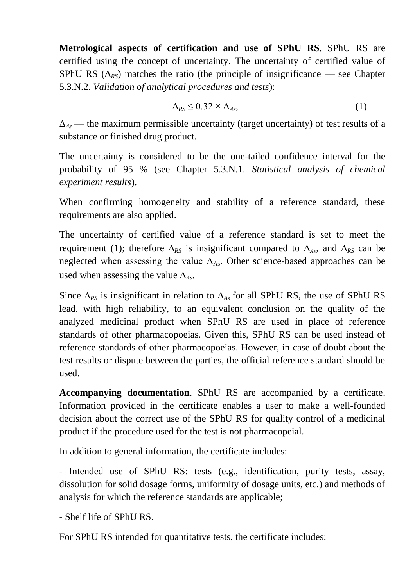**Metrological aspects of certification and use of SPhU RS**. SPhU RS are certified using the concept of uncertainty. The uncertainty of certified value of SPhU RS  $(\Delta_{RS})$  matches the ratio (the principle of insignificance — see Chapter 5.3.N.2. *Validation of analytical procedures and tests*):

$$
\Delta_{RS} \leq 0.32 \times \Delta_{As},\tag{1}
$$

Δ*Аs* — the maximum permissible uncertainty (target uncertainty) of test results of a substance or finished drug product.

The uncertainty is considered to be the one-tailed confidence interval for the probability of 95 % (see Chapter 5.3.N.1. *Statistical analysis of chemical experiment results*).

When confirming homogeneity and stability of a reference standard, these requirements are also applied.

The uncertainty of certified value of a reference standard is set to meet the requirement (1); therefore  $\Delta_{RS}$  is insignificant compared to  $\Delta_{As}$ , and  $\Delta_{RS}$  can be neglected when assessing the value  $\Delta_{\text{As}}$ . Other science-based approaches can be used when assessing the value  $\Delta_{As}$ .

Since  $\Delta_{RS}$  is insignificant in relation to  $\Delta_{As}$  for all SPhU RS, the use of SPhU RS lead, with high reliability, to an equivalent conclusion on the quality of the analyzed medicinal product when SPhU RS are used in place of reference standards of other pharmacopoeias. Given this, SPhU RS can be used instead of reference standards of other pharmacopoeias. However, in case of doubt about the test results or dispute between the parties, the official reference standard should be used.

**Accompanying documentation**. SPhU RS are accompanied by a certificate. Information provided in the certificate enables a user to make a well-founded decision about the correct use of the SPhU RS for quality control of a medicinal product if the procedure used for the test is not pharmacopeial.

In addition to general information, the certificate includes:

- Intended use of SPhU RS: tests (e.g., identification, purity tests, assay, dissolution for solid dosage forms, uniformity of dosage units, etc.) and methods of analysis for which the reference standards are applicable;

- Shelf life of SPhU RS.

For SPhU RS intended for quantitative tests, the certificate includes: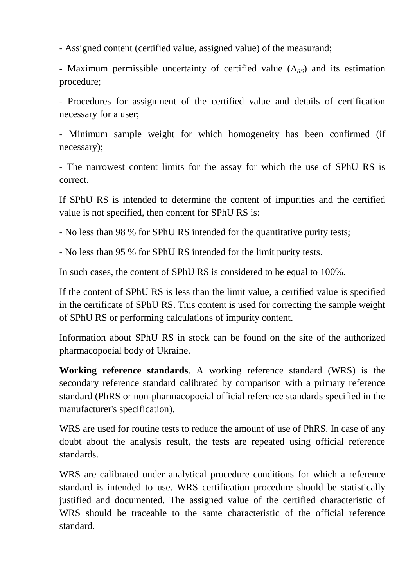- Assigned content (certified value, assigned value) of the measurand;

- Maximum permissible uncertainty of certified value  $(\Delta_{RS})$  and its estimation procedure;

- Procedures for assignment of the certified value and details of certification necessary for a user;

- Minimum sample weight for which homogeneity has been confirmed (if necessary);

- The narrowest content limits for the assay for which the use of SPhU RS is correct.

If SPhU RS is intended to determine the content of impurities and the certified value is not specified, then content for SPhU RS is:

- No less than 98 % for SPhU RS intended for the quantitative purity tests;

- No less than 95 % for SPhU RS intended for the limit purity tests.

In such cases, the content of SPhU RS is considered to be equal to 100%.

If the content of SPhU RS is less than the limit value, a certified value is specified in the certificate of SPhU RS. This content is used for correcting the sample weight of SPhU RS or performing calculations of impurity content.

Information about SPhU RS in stock can be found on the site of the authorized pharmacopoeial body of Ukraine.

**Working reference standards**. A working reference standard (WRS) is the secondary reference standard calibrated by comparison with a primary reference standard (PhRS or non-pharmacopoeial official reference standards specified in the manufacturer's specification).

WRS are used for routine tests to reduce the amount of use of PhRS. In case of any doubt about the analysis result, the tests are repeated using official reference standards.

WRS are calibrated under analytical procedure conditions for which a reference standard is intended to use. WRS certification procedure should be statistically justified and documented. The assigned value of the certified characteristic of WRS should be traceable to the same characteristic of the official reference standard.